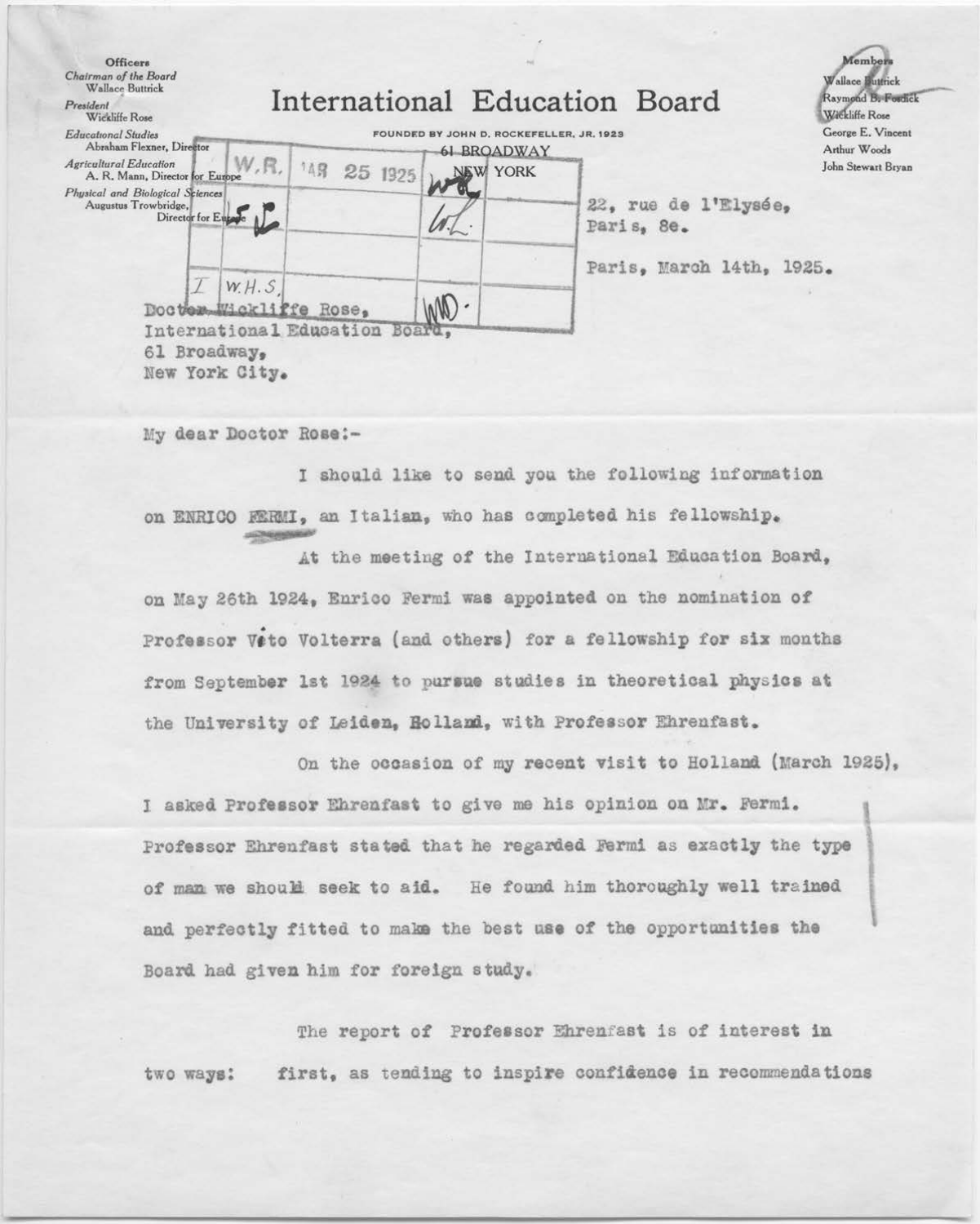| <b>Officers</b><br>Chairman of the Board<br>Wallace Buttrick<br>President<br>Wickliffe Rose | International Education Board |                         |         |                                                                |                                    | Member<br>Wallace Buttrick<br>Raymond B. Fosdick<br>Wickliffe Rose |  |
|---------------------------------------------------------------------------------------------|-------------------------------|-------------------------|---------|----------------------------------------------------------------|------------------------------------|--------------------------------------------------------------------|--|
| <b>Educational Studies</b><br>Abraham Flexner, Director                                     |                               |                         |         | FOUNDED BY JOHN D. ROCKEFELLER. JR. 1923<br><b>61 BROADWAY</b> |                                    | George E. Vincent<br>Arthur Woods                                  |  |
| <b>Agricultural Education</b><br>A. R. Mann, Director for Europe                            | W.R.                          | 1点段                     | 25 1925 | NEW YORK                                                       |                                    | John Stewart Bryan                                                 |  |
| Physical and Biological Sciences<br>Augustus Trowbridge,<br>Director for Europe             |                               |                         |         |                                                                | 22, rue de l'Elysée,<br>Paris, 8e. |                                                                    |  |
|                                                                                             |                               |                         |         |                                                                | Paris, March 14th,                 | 1925.                                                              |  |
| W.H.S<br>Doctor Wickliffe Rose,                                                             |                               |                         |         |                                                                |                                    |                                                                    |  |
| 61 Broadway,<br>New York City.                                                              |                               | International Education | Board.  |                                                                |                                    |                                                                    |  |

My dear Doctor Rose:-

I should like to send you the following information on ENRICO FERMI, an Italian, who has completed his fellowship.

At the meeting of the International Education Board, on May 26th 1924, Enrico Fermi was appointed on the nomination of Professor Veto Volterra (and others) for a fellowship for six months from September 1st 1924 to pursue studies in theoretical physics at the University of Leiden, Holland, with Professor Ehrenfast.

On the occasion of my recent visit to Holland (March 1925),

I asked Professor Ehrenfast to give me his opinion on Mr. Fermi. Professor Ehrenfast stated that he regarded Fermi as exactly the type of man we should seek to aid. He found him thoroughly well trained and perfectly fitted to make the best use of the opportunities the Board had given him for foreign study.

The report of Professor Ehrenfast is of interest in first, as tending to inspire confidence in recommendations two ways: